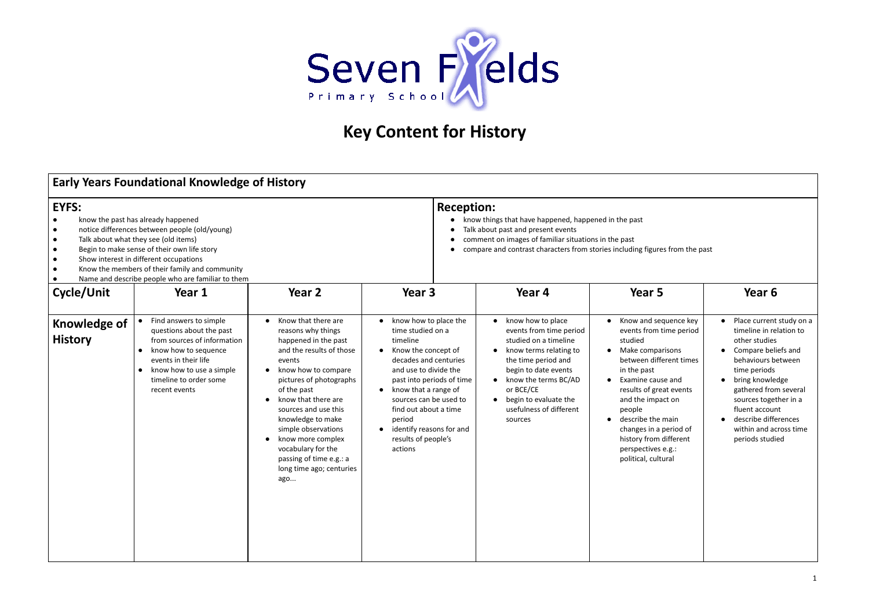

## **Key Content for History**

| <b>Early Years Foundational Knowledge of History</b>                                                                                                                                                                                                                                                                                                                                                         |                                                                                                                                                                                                          |                                                                                                                                                                                                                                                                                                                                                                                                          |                                                                                                                                                                                                                                                                                                                                                          |                                                                                                                                                                                                                                                                                           |                                                                                                                                                                                                                                                                                                                                             |                                                                                                                                                                                                                                                                                                 |  |
|--------------------------------------------------------------------------------------------------------------------------------------------------------------------------------------------------------------------------------------------------------------------------------------------------------------------------------------------------------------------------------------------------------------|----------------------------------------------------------------------------------------------------------------------------------------------------------------------------------------------------------|----------------------------------------------------------------------------------------------------------------------------------------------------------------------------------------------------------------------------------------------------------------------------------------------------------------------------------------------------------------------------------------------------------|----------------------------------------------------------------------------------------------------------------------------------------------------------------------------------------------------------------------------------------------------------------------------------------------------------------------------------------------------------|-------------------------------------------------------------------------------------------------------------------------------------------------------------------------------------------------------------------------------------------------------------------------------------------|---------------------------------------------------------------------------------------------------------------------------------------------------------------------------------------------------------------------------------------------------------------------------------------------------------------------------------------------|-------------------------------------------------------------------------------------------------------------------------------------------------------------------------------------------------------------------------------------------------------------------------------------------------|--|
| <b>EYFS:</b><br>know the past has already happened<br>$\bullet$<br>notice differences between people (old/young)<br>$\bullet$<br>Talk about what they see (old items)<br>$\bullet$<br>Begin to make sense of their own life story<br>$\bullet$<br>Show interest in different occupations<br>$\bullet$<br>Know the members of their family and community<br>Name and describe people who are familiar to them |                                                                                                                                                                                                          |                                                                                                                                                                                                                                                                                                                                                                                                          |                                                                                                                                                                                                                                                                                                                                                          | <b>Reception:</b><br>know things that have happened, happened in the past<br>Talk about past and present events<br>comment on images of familiar situations in the past<br>compare and contrast characters from stories including figures from the past                                   |                                                                                                                                                                                                                                                                                                                                             |                                                                                                                                                                                                                                                                                                 |  |
| Cycle/Unit                                                                                                                                                                                                                                                                                                                                                                                                   | Year 1                                                                                                                                                                                                   | Year 2                                                                                                                                                                                                                                                                                                                                                                                                   | Year 3                                                                                                                                                                                                                                                                                                                                                   | Year 4                                                                                                                                                                                                                                                                                    | Year 5                                                                                                                                                                                                                                                                                                                                      | Year 6                                                                                                                                                                                                                                                                                          |  |
| <b>Knowledge of</b><br><b>History</b>                                                                                                                                                                                                                                                                                                                                                                        | Find answers to simple<br>questions about the past<br>from sources of information<br>know how to sequence<br>events in their life<br>know how to use a simple<br>timeline to order some<br>recent events | • Know that there are<br>reasons why things<br>happened in the past<br>and the results of those<br>events<br>know how to compare<br>pictures of photographs<br>of the past<br>know that there are<br>$\bullet$<br>sources and use this<br>knowledge to make<br>simple observations<br>know more complex<br>$\bullet$<br>vocabulary for the<br>passing of time e.g.: a<br>long time ago; centuries<br>ago | know how to place the<br>$\bullet$<br>time studied on a<br>timeline<br>Know the concept of<br>$\bullet$<br>decades and centuries<br>and use to divide the<br>past into periods of time<br>• know that a range of<br>sources can be used to<br>find out about a time<br>period<br>identify reasons for and<br>$\bullet$<br>results of people's<br>actions | know how to place<br>events from time period<br>studied on a timeline<br>know terms relating to<br>$\bullet$<br>the time period and<br>begin to date events<br>know the terms BC/AD<br>$\bullet$<br>or BCE/CE<br>begin to evaluate the<br>$\bullet$<br>usefulness of different<br>sources | Know and sequence key<br>events from time period<br>studied<br>Make comparisons<br>between different times<br>in the past<br>Examine cause and<br>results of great events<br>and the impact on<br>people<br>describe the main<br>$\bullet$<br>changes in a period of<br>history from different<br>perspectives e.g.:<br>political, cultural | • Place current study on a<br>timeline in relation to<br>other studies<br>Compare beliefs and<br>behaviours between<br>time periods<br>bring knowledge<br>gathered from several<br>sources together in a<br>fluent account<br>describe differences<br>within and across time<br>periods studied |  |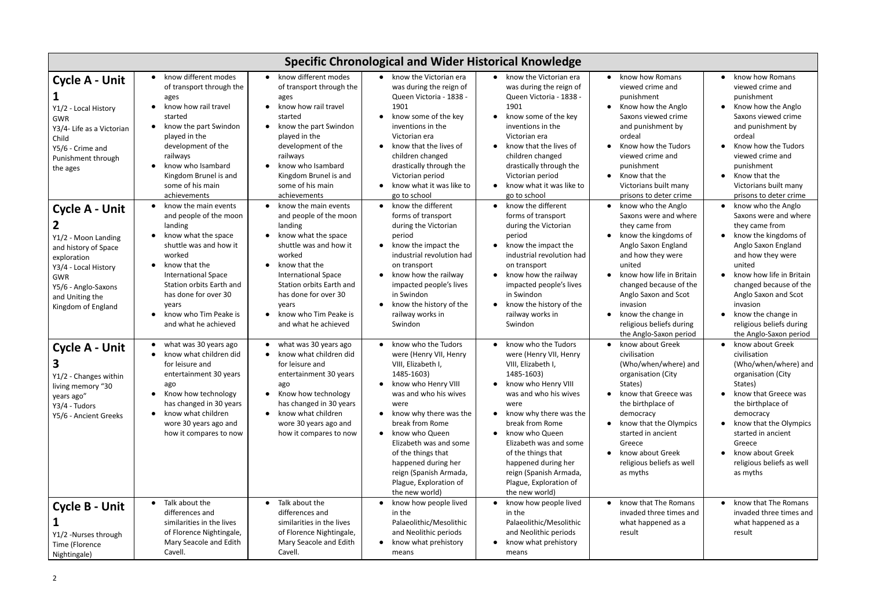| <b>Specific Chronological and Wider Historical Knowledge</b>                                                                                                              |                                                                                                                                                                                                                                                                                                                                                    |                                                                                                                                                                                                                                                                                                                            |                                                                                                                                                                                                                                                                                                                                                                                                           |                                                                                                                                                                                                                                                                                                                                                                                                           |                                                                                                                                                                                                                                                                                                                                                                            |                                                                                                                                                                                                                                                                                                           |
|---------------------------------------------------------------------------------------------------------------------------------------------------------------------------|----------------------------------------------------------------------------------------------------------------------------------------------------------------------------------------------------------------------------------------------------------------------------------------------------------------------------------------------------|----------------------------------------------------------------------------------------------------------------------------------------------------------------------------------------------------------------------------------------------------------------------------------------------------------------------------|-----------------------------------------------------------------------------------------------------------------------------------------------------------------------------------------------------------------------------------------------------------------------------------------------------------------------------------------------------------------------------------------------------------|-----------------------------------------------------------------------------------------------------------------------------------------------------------------------------------------------------------------------------------------------------------------------------------------------------------------------------------------------------------------------------------------------------------|----------------------------------------------------------------------------------------------------------------------------------------------------------------------------------------------------------------------------------------------------------------------------------------------------------------------------------------------------------------------------|-----------------------------------------------------------------------------------------------------------------------------------------------------------------------------------------------------------------------------------------------------------------------------------------------------------|
| <b>Cycle A - Unit</b><br>Y1/2 - Local History<br>GWR<br>Y3/4- Life as a Victorian<br>Child<br>Y5/6 - Crime and<br>Punishment through<br>the ages<br><b>Cycle A - Unit</b> | know different modes<br>$\bullet$<br>of transport through the<br>ages<br>know how rail travel<br>$\bullet$<br>started<br>know the part Swindon<br>played in the<br>development of the<br>railways<br>know who Isambard<br>Kingdom Brunel is and<br>some of his main<br>achievements<br>know the main events<br>$\bullet$<br>and people of the moon | • know different modes<br>of transport through the<br>ages<br>know how rail travel<br>started<br>know the part Swindon<br>played in the<br>development of the<br>railways<br>know who Isambard<br>Kingdom Brunel is and<br>some of his main<br>achievements<br>know the main events<br>$\bullet$<br>and people of the moon | • know the Victorian era<br>was during the reign of<br>Queen Victoria - 1838 -<br>1901<br>know some of the key<br>$\bullet$<br>inventions in the<br>Victorian era<br>know that the lives of<br>children changed<br>drastically through the<br>Victorian period<br>know what it was like to<br>go to school<br>know the different<br>$\bullet$<br>forms of transport                                       | know the Victorian era<br>$\bullet$<br>was during the reign of<br>Queen Victoria - 1838 -<br>1901<br>know some of the key<br>$\bullet$<br>inventions in the<br>Victorian era<br>know that the lives of<br>children changed<br>drastically through the<br>Victorian period<br>know what it was like to<br>go to school<br>know the different<br>$\bullet$<br>forms of transport                            | know how Romans<br>$\bullet$<br>viewed crime and<br>punishment<br>Know how the Anglo<br>$\bullet$<br>Saxons viewed crime<br>and punishment by<br>ordeal<br>Know how the Tudors<br>$\bullet$<br>viewed crime and<br>punishment<br>Know that the<br>$\bullet$<br>Victorians built many<br>prisons to deter crime<br>know who the Anglo<br>$\bullet$<br>Saxons were and where | know how Romans<br>viewed crime and<br>punishment<br>Know how the Anglo<br>Saxons viewed crime<br>and punishment by<br>ordeal<br>Know how the Tudors<br>viewed crime and<br>punishment<br>Know that the<br>Victorians built many<br>prisons to deter crime<br>know who the Anglo<br>Saxons were and where |
| Y1/2 - Moon Landing<br>and history of Space<br>exploration<br>Y3/4 - Local History<br>GWR<br>Y5/6 - Anglo-Saxons<br>and Uniting the<br>Kingdom of England                 | landing<br>know what the space<br>shuttle was and how it<br>worked<br>know that the<br>$\bullet$<br><b>International Space</b><br>Station orbits Earth and<br>has done for over 30<br>years<br>know who Tim Peake is<br>$\bullet$<br>and what he achieved                                                                                          | landing<br>know what the space<br>shuttle was and how it<br>worked<br>know that the<br><b>International Space</b><br>Station orbits Earth and<br>has done for over 30<br>years<br>know who Tim Peake is<br>$\bullet$<br>and what he achieved                                                                               | during the Victorian<br>period<br>know the impact the<br>$\bullet$<br>industrial revolution had<br>on transport<br>know how the railway<br>$\bullet$<br>impacted people's lives<br>in Swindon<br>know the history of the<br>railway works in<br>Swindon                                                                                                                                                   | during the Victorian<br>period<br>know the impact the<br>industrial revolution had<br>on transport<br>know how the railway<br>impacted people's lives<br>in Swindon<br>know the history of the<br>railway works in<br>Swindon                                                                                                                                                                             | they came from<br>know the kingdoms of<br>$\bullet$<br>Anglo Saxon England<br>and how they were<br>united<br>know how life in Britain<br>$\bullet$<br>changed because of the<br>Anglo Saxon and Scot<br>invasion<br>know the change in<br>$\bullet$<br>religious beliefs during<br>the Anglo-Saxon period                                                                  | they came from<br>know the kingdoms of<br>Anglo Saxon England<br>and how they were<br>united<br>know how life in Britain<br>changed because of the<br>Anglo Saxon and Scot<br>invasion<br>know the change in<br>religious beliefs during<br>the Anglo-Saxon period                                        |
| <b>Cycle A - Unit</b><br>Y1/2 - Changes within<br>living memory "30<br>years ago"<br>Y3/4 - Tudors<br>Y5/6 - Ancient Greeks                                               | what was 30 years ago<br>$\bullet$<br>know what children did<br>for leisure and<br>entertainment 30 years<br>ago<br>Know how technology<br>$\bullet$<br>has changed in 30 years<br>know what children<br>$\bullet$<br>wore 30 years ago and<br>how it compares to now                                                                              | what was 30 years ago<br>know what children did<br>for leisure and<br>entertainment 30 years<br>ago<br>Know how technology<br>has changed in 30 years<br>know what children<br>$\bullet$<br>wore 30 years ago and<br>how it compares to now                                                                                | know who the Tudors<br>$\bullet$<br>were (Henry VII, Henry<br>VIII, Elizabeth I,<br>1485-1603)<br>know who Henry VIII<br>$\bullet$<br>was and who his wives<br>were<br>know why there was the<br>$\bullet$<br>break from Rome<br>know who Queen<br>$\bullet$<br>Elizabeth was and some<br>of the things that<br>happened during her<br>reign (Spanish Armada,<br>Plague, Exploration of<br>the new world) | know who the Tudors<br>$\bullet$<br>were (Henry VII, Henry<br>VIII, Elizabeth I,<br>1485-1603)<br>know who Henry VIII<br>$\bullet$<br>was and who his wives<br>were<br>know why there was the<br>$\bullet$<br>break from Rome<br>know who Queen<br>$\bullet$<br>Elizabeth was and some<br>of the things that<br>happened during her<br>reign (Spanish Armada,<br>Plague, Exploration of<br>the new world) | know about Greek<br>civilisation<br>(Who/when/where) and<br>organisation (City<br>States)<br>know that Greece was<br>the birthplace of<br>democracy<br>know that the Olympics<br>started in ancient<br>Greece<br>know about Greek<br>$\bullet$<br>religious beliefs as well<br>as myths                                                                                    | know about Greek<br>civilisation<br>(Who/when/where) and<br>organisation (City<br>States)<br>know that Greece was<br>the birthplace of<br>democracy<br>know that the Olympics<br>started in ancient<br>Greece<br>know about Greek<br>religious beliefs as well<br>as myths                                |
| <b>Cycle B - Unit</b><br>Y1/2 -Nurses through<br>Time (Florence<br>Nightingale)                                                                                           | Talk about the<br>$\bullet$<br>differences and<br>similarities in the lives<br>of Florence Nightingale,<br>Mary Seacole and Edith<br>Cavell.                                                                                                                                                                                                       | Talk about the<br>$\bullet$<br>differences and<br>similarities in the lives<br>of Florence Nightingale,<br>Mary Seacole and Edith<br>Cavell.                                                                                                                                                                               | know how people lived<br>in the<br>Palaeolithic/Mesolithic<br>and Neolithic periods<br>know what prehistory<br>$\bullet$<br>means                                                                                                                                                                                                                                                                         | know how people lived<br>in the<br>Palaeolithic/Mesolithic<br>and Neolithic periods<br>know what prehistory<br>means                                                                                                                                                                                                                                                                                      | know that The Romans<br>$\bullet$<br>invaded three times and<br>what happened as a<br>result                                                                                                                                                                                                                                                                               | know that The Romans<br>invaded three times and<br>what happened as a<br>result                                                                                                                                                                                                                           |